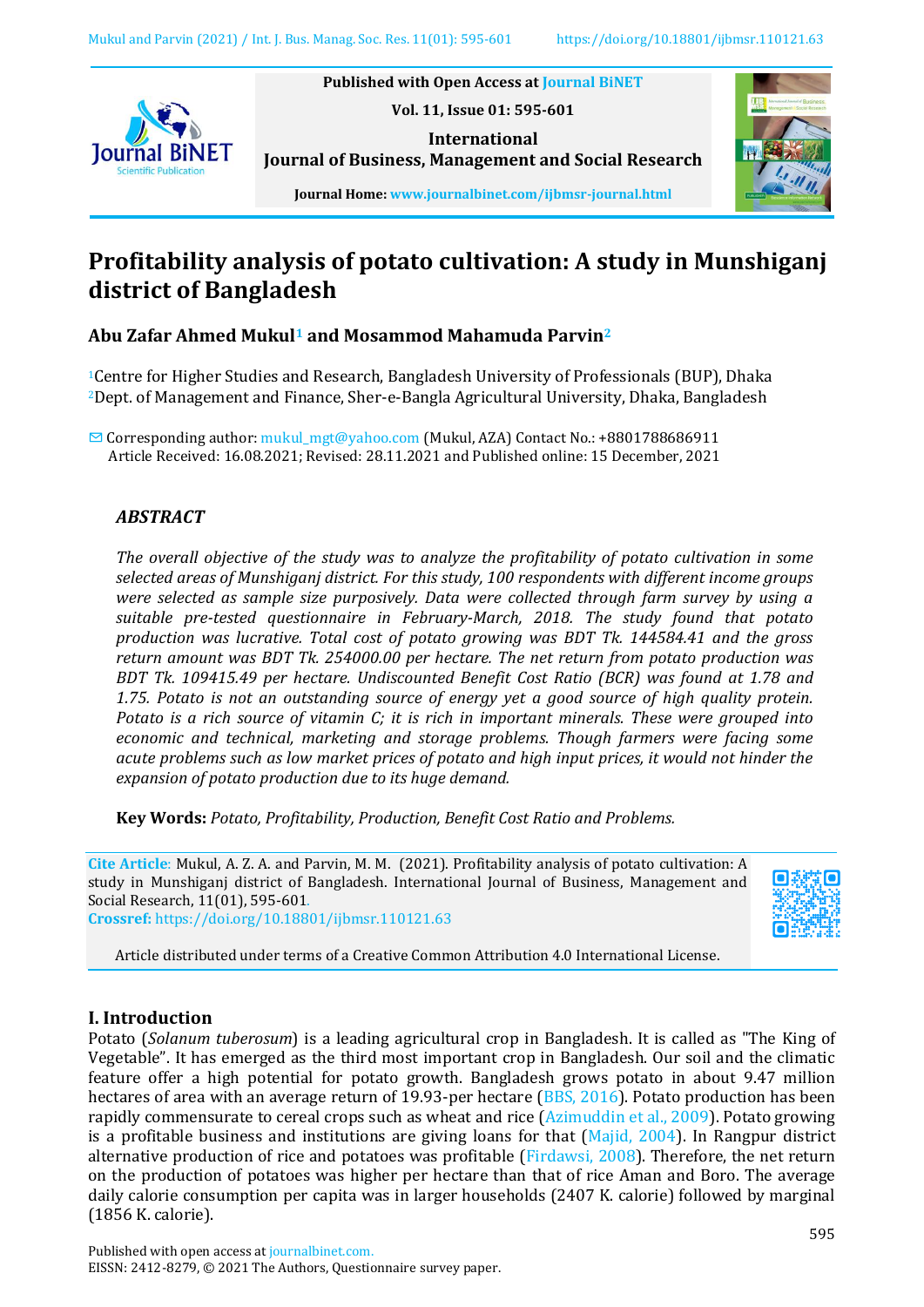

**Published with Open Access at [Journal BiNET](http://www.journalbinet.com/)**

**Vol. 11, Issue 01: 595-601**

**International Journal of Business, Management and Social Research**



**Journal Home: [www.journalbinet.com/ijbmsr-journal.html](http://www.journalbinet.com/ijbmsr-journal.html)**

# **Profitability analysis of potato cultivation: A study in Munshiganj district of Bangladesh**

# **Abu Zafar Ahmed Mukul<sup>1</sup> and Mosammod Mahamuda Parvin<sup>2</sup>**

<sup>1</sup>Centre for Higher Studies and Research, Bangladesh University of Professionals (BUP), Dhaka <sup>2</sup>Dept. of Management and Finance, Sher-e-Bangla Agricultural University, Dhaka, Bangladesh

✉ Corresponding author[: mukul\\_mgt@yahoo.com](mailto:mukul_mgt@yahoo.com) (Mukul, AZA) Contact No.: +8801788686911 Article Received: 16.08.2021; Revised: 28.11.2021 and Published online: 15 December, 2021

# *ABSTRACT*

*The overall objective of the study was to analyze the profitability of potato cultivation in some selected areas of Munshiganj district. For this study, 100 respondents with different income groups were selected as sample size purposively. Data were collected through farm survey by using a suitable pre-tested questionnaire in February-March, 2018. The study found that potato production was lucrative. Total cost of potato growing was BDT Tk. 144584.41 and the gross return amount was BDT Tk. 254000.00 per hectare. The net return from potato production was BDT Tk. 109415.49 per hectare. Undiscounted Benefit Cost Ratio (BCR) was found at 1.78 and 1.75. Potato is not an outstanding source of energy yet a good source of high quality protein. Potato is a rich source of vitamin C; it is rich in important minerals. These were grouped into economic and technical, marketing and storage problems. Though farmers were facing some acute problems such as low market prices of potato and high input prices, it would not hinder the expansion of potato production due to its huge demand.*

**Key Words:** *Potato, Profitability, Production, Benefit Cost Ratio and Problems.*

**Cite Article**: Mukul, A. Z. A. and Parvin, M. M. (2021). Profitability analysis of potato cultivation: A study in Munshiganj district of Bangladesh. International Journal of Business, Management and Social Research, 11(01), 595-601. **Crossref:** <https://doi.org/10.18801/ijbmsr.110121.63>



Article distributed under terms of a Creative Common Attribution 4.0 International License.

## **I. Introduction**

Potato (*Solanum tuberosum*) is a leading agricultural crop in Bangladesh. It is called as "The King of Vegetable". It has emerged as the third most important crop in Bangladesh. Our soil and the climatic feature offer a high potential for potato growth. Bangladesh grows potato in about 9.47 million hectares of area with an average return of 19.93-per hectare [\(BBS, 2016\)](#page-5-0). Potato production has been rapidly commensurate to cereal crops such as wheat and rice [\(Azimuddin et al., 2009\)](#page-5-0). Potato growing is a profitable business and institutions are giving loans for that  $(Majid, 2004)$ . In Rangpur district alternative production of rice and potatoes was profitable [\(Firdawsi, 2008\)](#page-5-1). Therefore, the net return on the production of potatoes was higher per hectare than that of rice Aman and Boro. The average daily calorie consumption per capita was in larger households (2407 K. calorie) followed by marginal (1856 K. calorie).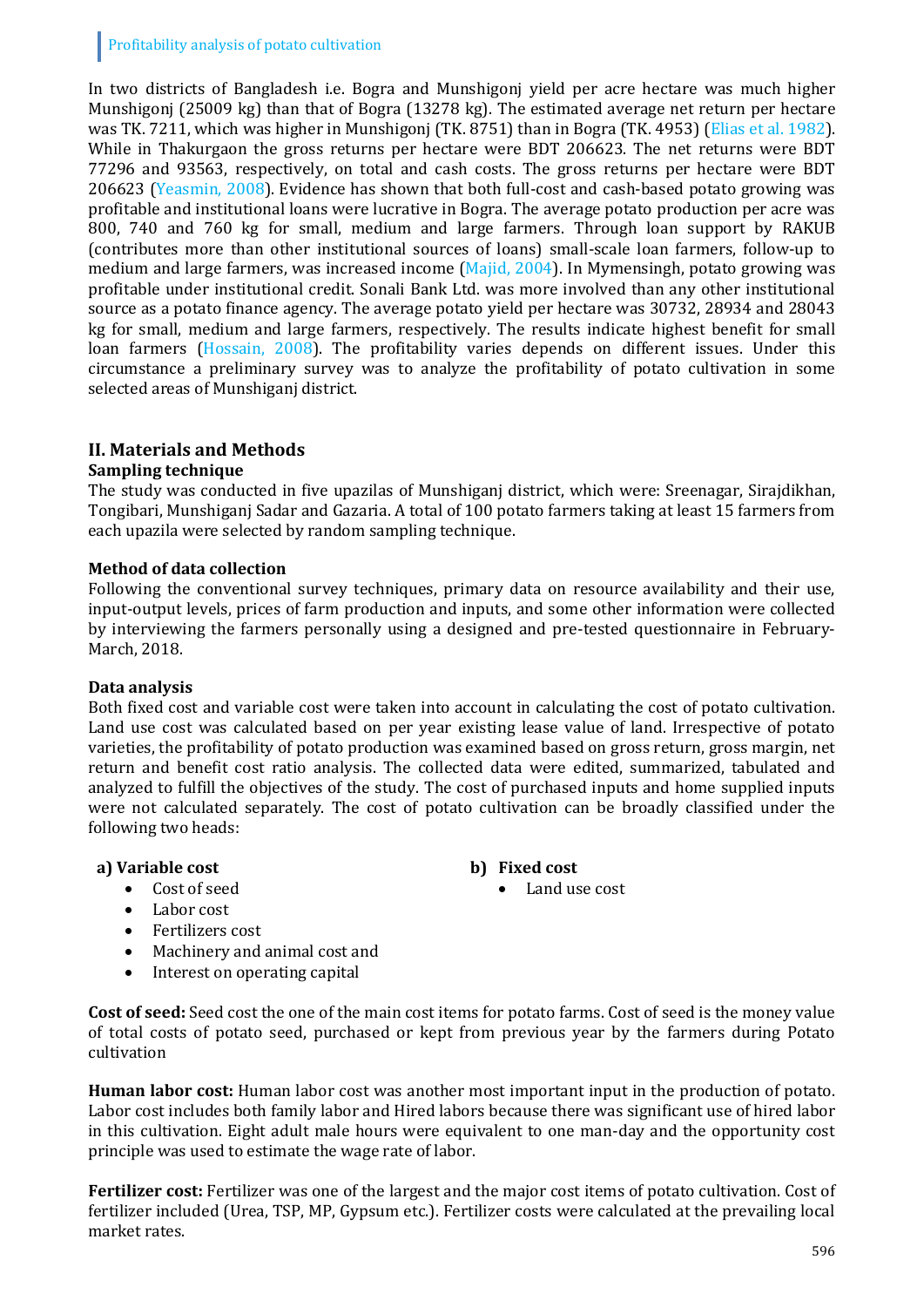## Profitability analysis of potato cultivation

In two districts of Bangladesh i.e. Bogra and Munshigonj yield per acre hectare was much higher Munshigonj (25009 kg) than that of Bogra (13278 kg). The estimated average net return per hectare was TK. 7211, which was higher in Munshigonj (TK. 8751) than in Bogra (TK. 4953) [\(Elias et al. 1982\)](#page-5-2). While in Thakurgaon the gross returns per hectare were BDT 206623. The net returns were BDT 77296 and 93563, respectively, on total and cash costs. The gross returns per hectare were BDT 206623 (Yeasmin, 2008). Evidence has shown that both full-cost and cash-based potato growing was profitable and institutional loans were lucrative in Bogra. The average potato production per acre was 800, 740 and 760 kg for small, medium and large farmers. Through loan support by RAKUB (contributes more than other institutional sources of loans) small-scale loan farmers, follow-up to medium and large farmers, was increased income [\(Majid, 2004\)](#page-6-0). In Mymensingh, potato growing was profitable under institutional credit. Sonali Bank Ltd. was more involved than any other institutional source as a potato finance agency. The average potato yield per hectare was 30732, 28934 and 28043 kg for small, medium and large farmers, respectively. The results indicate highest benefit for small loan farmers [\(Hossain, 2008\)](#page-5-3). The profitability varies depends on different issues. Under this circumstance a preliminary survey was to analyze the profitability of potato cultivation in some selected areas of Munshiganj district.

# **II. Materials and Methods**

## **Sampling technique**

The study was conducted in five upazilas of Munshiganj district, which were: Sreenagar, Sirajdikhan, Tongibari, Munshiganj Sadar and Gazaria. A total of 100 potato farmers taking at least 15 farmers from each upazila were selected by random sampling technique.

## **Method of data collection**

Following the conventional survey techniques, primary data on resource availability and their use, input-output levels, prices of farm production and inputs, and some other information were collected by interviewing the farmers personally using a designed and pre-tested questionnaire in February-March, 2018.

#### **Data analysis**

Both fixed cost and variable cost were taken into account in calculating the cost of potato cultivation. Land use cost was calculated based on per year existing lease value of land. Irrespective of potato varieties, the profitability of potato production was examined based on gross return, gross margin, net return and benefit cost ratio analysis. The collected data were edited, summarized, tabulated and analyzed to fulfill the objectives of the study. The cost of purchased inputs and home supplied inputs were not calculated separately. The cost of potato cultivation can be broadly classified under the following two heads:

Land use cost

#### **a) Variable cost b) Fixed cost**

- Cost of seed
- Labor cost
- Fertilizers cost
- Machinery and animal cost and
- Interest on operating capital

**Cost of seed:** Seed cost the one of the main cost items for potato farms. Cost of seed is the money value of total costs of potato seed, purchased or kept from previous year by the farmers during Potato cultivation

**Human labor cost:** Human labor cost was another most important input in the production of potato. Labor cost includes both family labor and Hired labors because there was significant use of hired labor in this cultivation. Eight adult male hours were equivalent to one man-day and the opportunity cost principle was used to estimate the wage rate of labor.

**Fertilizer cost:** Fertilizer was one of the largest and the major cost items of potato cultivation. Cost of fertilizer included (Urea, TSP, MP, Gypsum etc.). Fertilizer costs were calculated at the prevailing local market rates.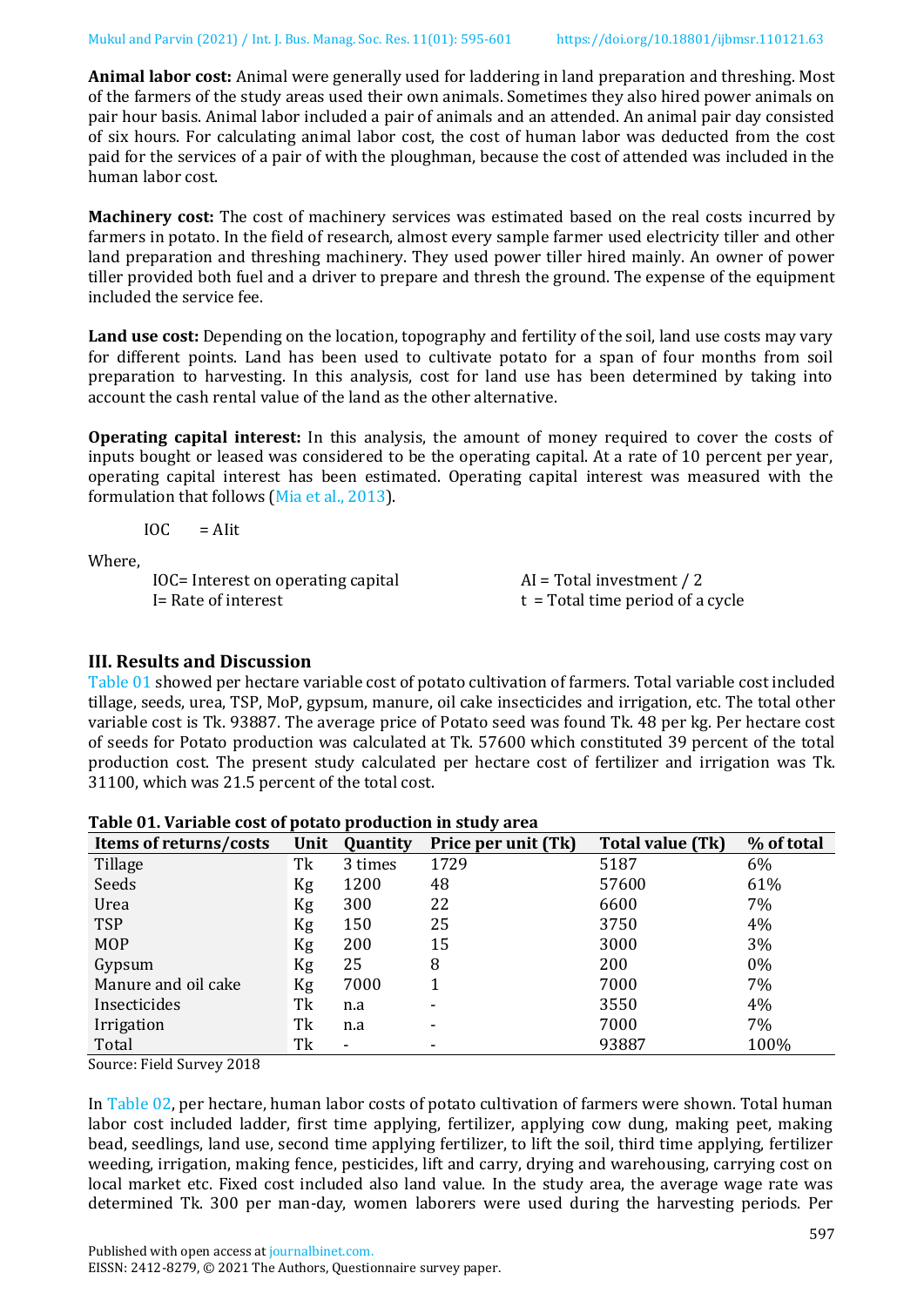**Animal labor cost:** Animal were generally used for laddering in land preparation and threshing. Most of the farmers of the study areas used their own animals. Sometimes they also hired power animals on pair hour basis. Animal labor included a pair of animals and an attended. An animal pair day consisted of six hours. For calculating animal labor cost, the cost of human labor was deducted from the cost paid for the services of a pair of with the ploughman, because the cost of attended was included in the human labor cost.

**Machinery cost:** The cost of machinery services was estimated based on the real costs incurred by farmers in potato. In the field of research, almost every sample farmer used electricity tiller and other land preparation and threshing machinery. They used power tiller hired mainly. An owner of power tiller provided both fuel and a driver to prepare and thresh the ground. The expense of the equipment included the service fee.

**Land use cost:** Depending on the location, topography and fertility of the soil, land use costs may vary for different points. Land has been used to cultivate potato for a span of four months from soil preparation to harvesting. In this analysis, cost for land use has been determined by taking into account the cash rental value of the land as the other alternative.

**Operating capital interest:** In this analysis, the amount of money required to cover the costs of inputs bought or leased was considered to be the operating capital. At a rate of 10 percent per year, operating capital interest has been estimated. Operating capital interest was measured with the formulation that follows [\(Mia et al., 2013\)](#page-6-1).

 $IOC = Alit$ 

Where,

| IOC= Interest on operating capital | $AI = Total investment / 2$        |
|------------------------------------|------------------------------------|
| I= Rate of interest                | $t = Total time period of a cycle$ |

## **III. Results and Discussion**

[Table 01](#page-2-0) showed per hectare variable cost of potato cultivation of farmers. Total variable cost included tillage, seeds, urea, TSP, MoP, gypsum, manure, oil cake insecticides and irrigation, etc. The total other variable cost is Tk. 93887. The average price of Potato seed was found Tk. 48 per kg. Per hectare cost of seeds for Potato production was calculated at Tk. 57600 which constituted 39 percent of the total production cost. The present study calculated per hectare cost of fertilizer and irrigation was Tk. 31100, which was 21.5 percent of the total cost.

| Items of returns/costs | Unit | Quantity | Price per unit (Tk) | Total value (Tk) | % of total |
|------------------------|------|----------|---------------------|------------------|------------|
| Tillage                | Tk   | 3 times  | 1729                | 5187             | 6%         |
| Seeds                  | Kg   | 1200     | 48                  | 57600            | 61%        |
| Urea                   | Kg   | 300      | 22                  | 6600             | 7%         |
| <b>TSP</b>             | Kg   | 150      | 25                  | 3750             | 4%         |
| <b>MOP</b>             | Kg   | 200      | 15                  | 3000             | 3%         |
| Gypsum                 | Kg   | 25       | 8                   | 200              | $0\%$      |
| Manure and oil cake    | Kg   | 7000     |                     | 7000             | 7%         |
| Insecticides           | Tk   | n.a      | ۰                   | 3550             | 4%         |
| Irrigation             | Tk   | n.a      | ۰                   | 7000             | 7%         |
| Total                  | Tk   | ٠        | ۰                   | 93887            | 100%       |

<span id="page-2-0"></span>

| Table 01. Variable cost of potato production in study area |  |  |  |
|------------------------------------------------------------|--|--|--|
|------------------------------------------------------------|--|--|--|

Source: Field Survey 2018

In [Table 02,](#page-3-0) per hectare, human labor costs of potato cultivation of farmers were shown. Total human labor cost included ladder, first time applying, fertilizer, applying cow dung, making peet, making bead, seedlings, land use, second time applying fertilizer, to lift the soil, third time applying, fertilizer weeding, irrigation, making fence, pesticides, lift and carry, drying and warehousing, carrying cost on local market etc. Fixed cost included also land value. In the study area, the average wage rate was determined Tk. 300 per man-day, women laborers were used during the harvesting periods. Per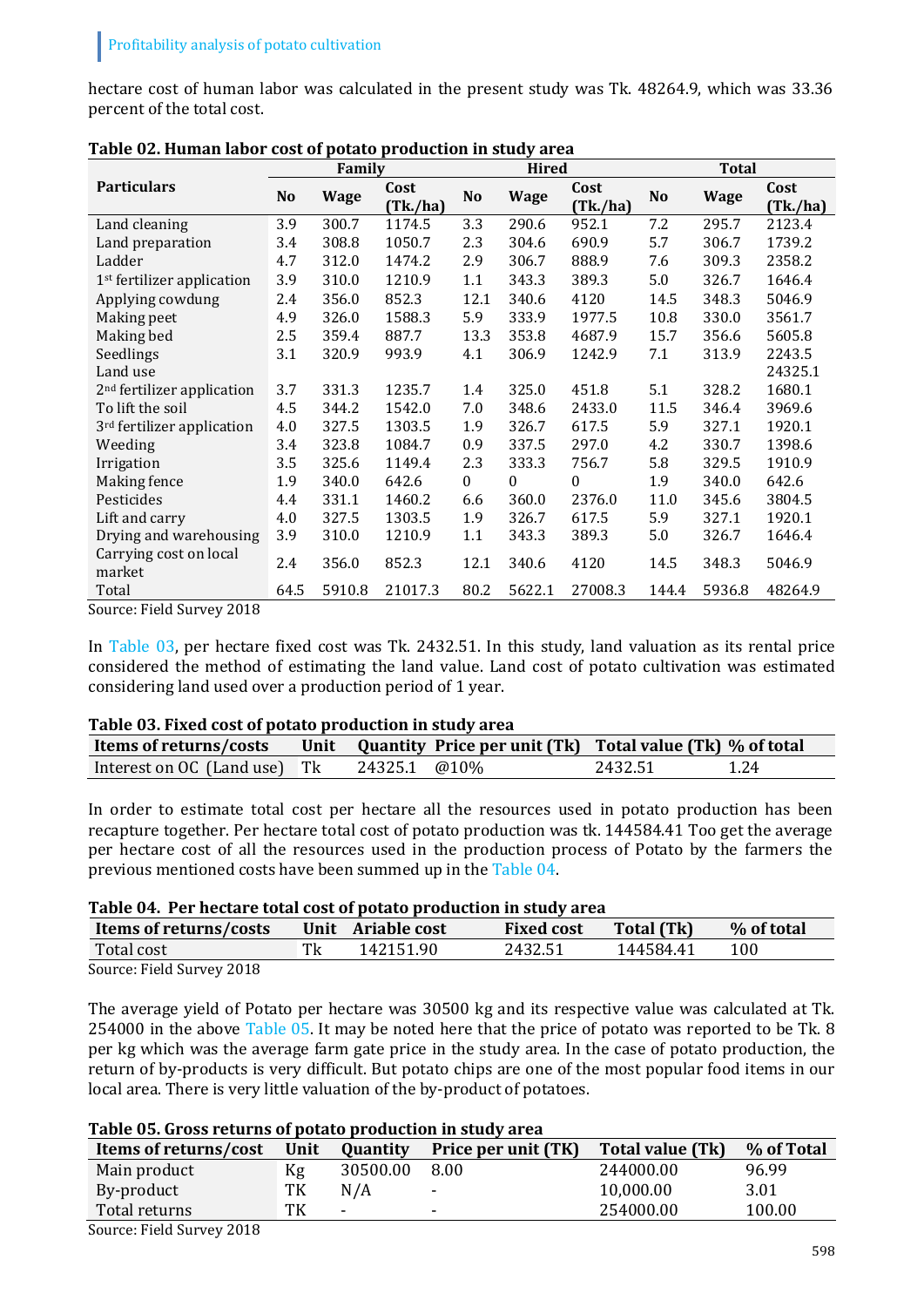hectare cost of human labor was calculated in the present study was Tk. 48264.9, which was 33.36 percent of the total cost.

|                                               |      | Family      |                  |          | <b>Hired</b> |                  |       | <b>Total</b> |                  |
|-----------------------------------------------|------|-------------|------------------|----------|--------------|------------------|-------|--------------|------------------|
| <b>Particulars</b>                            | No   | <b>Wage</b> | Cost<br>(Tk./ha) | No       | <b>Wage</b>  | Cost<br>(Tk./ha) | No    | <b>Wage</b>  | Cost<br>(Tk./ha) |
| Land cleaning                                 | 3.9  | 300.7       | 1174.5           | 3.3      | 290.6        | 952.1            | 7.2   | 295.7        | 2123.4           |
| Land preparation                              | 3.4  | 308.8       | 1050.7           | 2.3      | 304.6        | 690.9            | 5.7   | 306.7        | 1739.2           |
| Ladder                                        | 4.7  | 312.0       | 1474.2           | 2.9      | 306.7        | 888.9            | 7.6   | 309.3        | 2358.2           |
| $1st$ fertilizer application                  | 3.9  | 310.0       | 1210.9           | 1.1      | 343.3        | 389.3            | 5.0   | 326.7        | 1646.4           |
| Applying cowdung                              | 2.4  | 356.0       | 852.3            | 12.1     | 340.6        | 4120             | 14.5  | 348.3        | 5046.9           |
| Making peet                                   | 4.9  | 326.0       | 1588.3           | 5.9      | 333.9        | 1977.5           | 10.8  | 330.0        | 3561.7           |
| Making bed                                    | 2.5  | 359.4       | 887.7            | 13.3     | 353.8        | 4687.9           | 15.7  | 356.6        | 5605.8           |
| Seedlings                                     | 3.1  | 320.9       | 993.9            | 4.1      | 306.9        | 1242.9           | 7.1   | 313.9        | 2243.5           |
| Land use                                      |      |             |                  |          |              |                  |       |              | 24325.1          |
| 2 <sup>nd</sup> fertilizer application        | 3.7  | 331.3       | 1235.7           | 1.4      | 325.0        | 451.8            | 5.1   | 328.2        | 1680.1           |
| To lift the soil                              | 4.5  | 344.2       | 1542.0           | 7.0      | 348.6        | 2433.0           | 11.5  | 346.4        | 3969.6           |
| 3 <sup>rd</sup> fertilizer application        | 4.0  | 327.5       | 1303.5           | 1.9      | 326.7        | 617.5            | 5.9   | 327.1        | 1920.1           |
| Weeding                                       | 3.4  | 323.8       | 1084.7           | 0.9      | 337.5        | 297.0            | 4.2   | 330.7        | 1398.6           |
| Irrigation                                    | 3.5  | 325.6       | 1149.4           | 2.3      | 333.3        | 756.7            | 5.8   | 329.5        | 1910.9           |
| Making fence                                  | 1.9  | 340.0       | 642.6            | $\Omega$ | $\theta$     | $\Omega$         | 1.9   | 340.0        | 642.6            |
| Pesticides                                    | 4.4  | 331.1       | 1460.2           | 6.6      | 360.0        | 2376.0           | 11.0  | 345.6        | 3804.5           |
| Lift and carry                                | 4.0  | 327.5       | 1303.5           | 1.9      | 326.7        | 617.5            | 5.9   | 327.1        | 1920.1           |
| Drying and warehousing                        | 3.9  | 310.0       | 1210.9           | 1.1      | 343.3        | 389.3            | 5.0   | 326.7        | 1646.4           |
| Carrying cost on local<br>market              | 2.4  | 356.0       | 852.3            | 12.1     | 340.6        | 4120             | 14.5  | 348.3        | 5046.9           |
| Total<br>$\mathbf{m}$ , $\mathbf{m}$<br>0.010 | 64.5 | 5910.8      | 21017.3          | 80.2     | 5622.1       | 27008.3          | 144.4 | 5936.8       | 48264.9          |

<span id="page-3-0"></span>

| Table 02. Human labor cost of potato production in study area |  |  |
|---------------------------------------------------------------|--|--|
|                                                               |  |  |

Source: Field Survey 2018

In [Table 03,](#page-3-1) per hectare fixed cost was Tk. 2432.51. In this study, land valuation as its rental price considered the method of estimating the land value. Land cost of potato cultivation was estimated considering land used over a production period of 1 year.

#### <span id="page-3-1"></span>**Table 03. Fixed cost of potato production in study area**

| Items of returns/costs       | Unit Quantity Price per unit (Tk) Total value (Tk) % of total |                 |
|------------------------------|---------------------------------------------------------------|-----------------|
| Interest on OC (Land use) Tk | 24325.1 @10\%                                                 | 2432.51<br>1.24 |

In order to estimate total cost per hectare all the resources used in potato production has been recapture together. Per hectare total cost of potato production was tk. 144584.41 Too get the average per hectare cost of all the resources used in the production process of Potato by the farmers the previous mentioned costs have been summed up in the [Table 04.](#page-3-2)

#### <span id="page-3-2"></span>**Table 04. Per hectare total cost of potato production in study area**

| Items of returns/costs    | Unit | <b>Ariable cost</b> | <b>Fixed cost</b> | <b>Total (Tk)</b> | % of total |
|---------------------------|------|---------------------|-------------------|-------------------|------------|
| Total cost                |      | 142151.90           | 2432.51           | 144584.41         | 100        |
| Source: Field Survey 2018 |      |                     |                   |                   |            |

Source: Field Survey 2018

The average yield of Potato per hectare was 30500 kg and its respective value was calculated at Tk. 254000 in the above [Table 05.](#page-3-3) It may be noted here that the price of potato was reported to be Tk. 8 per kg which was the average farm gate price in the study area. In the case of potato production, the return of by-products is very difficult. But potato chips are one of the most popular food items in our local area. There is very little valuation of the by-product of potatoes.

## <span id="page-3-3"></span>**Table 05. Gross returns of potato production in study area**

| Items of returns/cost | Unit | <b>Quantity</b>          | Price per unit (TK)      | Total value (Tk) | % of Total |
|-----------------------|------|--------------------------|--------------------------|------------------|------------|
| Main product          | Kg   | 30500.00                 | 8.00                     | 244000.00        | 96.99      |
| By-product            | TК   | N/A                      | $\overline{\phantom{a}}$ | 10,000.00        | 3.01       |
| Total returns         | TK   | $\overline{\phantom{0}}$ | $\overline{\phantom{0}}$ | 254000.00        | 100.00     |

Source: Field Survey 2018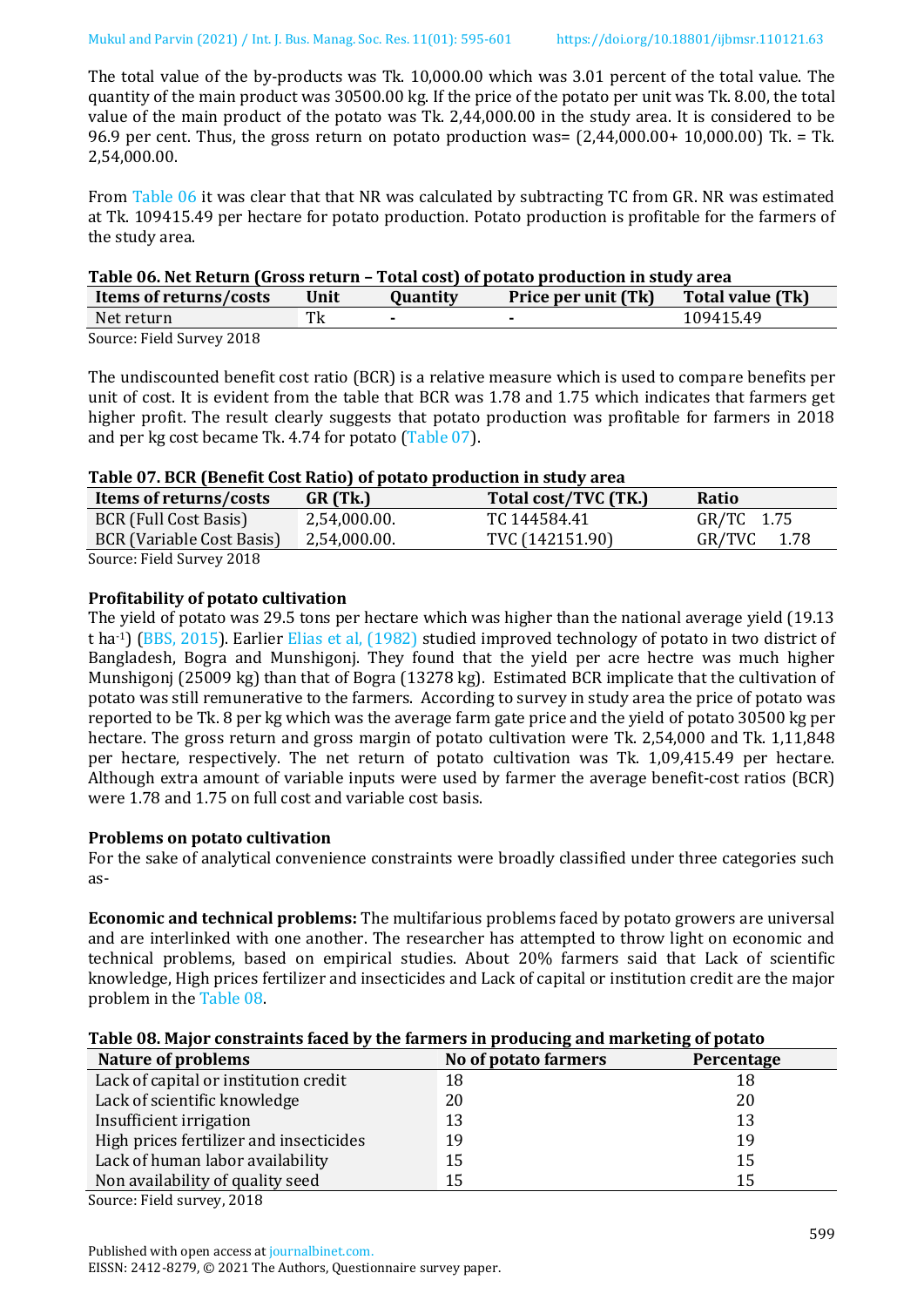The total value of the by-products was Tk. 10,000.00 which was 3.01 percent of the total value. The quantity of the main product was 30500.00 kg. If the price of the potato per unit was Tk. 8.00, the total value of the main product of the potato was Tk. 2,44,000.00 in the study area. It is considered to be 96.9 per cent. Thus, the gross return on potato production was=  $(2,44,000.00+10,000.00)$  Tk. = Tk. 2,54,000.00.

From [Table](#page-4-0) 06 it was clear that that NR was calculated by subtracting TC from GR. NR was estimated at Tk. 109415.49 per hectare for potato production. Potato production is profitable for the farmers of the study area.

## <span id="page-4-0"></span>**Table 06. Net Return (Gross return – Total cost) of potato production in study area**

| Items of returns/costs                               | Unit | <b>Ouantitv</b> | <b>Price per unit (Tk)</b> | <b>Total value (Tk)</b> |
|------------------------------------------------------|------|-----------------|----------------------------|-------------------------|
| Net return                                           | m.   |                 | $\overline{\phantom{0}}$   | 109415.49               |
| $C_{2}$ $\rightarrow$ $D:11C_{2}$ $\rightarrow$ 0.40 |      |                 |                            |                         |

Source: Field Survey 2018

The undiscounted benefit cost ratio (BCR) is a relative measure which is used to compare benefits per unit of cost. It is evident from the table that BCR was 1.78 and 1.75 which indicates that farmers get higher profit. The result clearly suggests that potato production was profitable for farmers in 2018 and per kg cost became Tk. 4.74 for potato [\(Table 07\)](#page-4-1).

#### <span id="page-4-1"></span>**Table 07. BCR (Benefit Cost Ratio) of potato production in study area**

|                           | Tuble of I Ben (Beneitt ecoc Ratio) of potato proudotion in Stati, al cu |                      |                |  |  |  |
|---------------------------|--------------------------------------------------------------------------|----------------------|----------------|--|--|--|
| Items of returns/costs    | GR (Tk.)                                                                 | Total cost/TVC (TK.) | Ratio          |  |  |  |
| BCR (Full Cost Basis)     | 2,54,000.00.                                                             | TC 144584.41         | GR/TC 1.75     |  |  |  |
| BCR (Variable Cost Basis) | 2,54,000.00.                                                             | TVC (142151.90)      | GR/TVC<br>1.78 |  |  |  |
| Source: Field Survey 2018 |                                                                          |                      |                |  |  |  |

Source: Field Survey 2018

## **Profitability of potato cultivation**

The yield of potato was 29.5 tons per hectare which was higher than the national average yield (19.13 t ha-1) [\(BBS, 2015\)](#page-5-4). Earlier [Elias et al,](#page-5-2) (1982) studied improved technology of potato in two district of Bangladesh, Bogra and Munshigonj. They found that the yield per acre hectre was much higher Munshigonj (25009 kg) than that of Bogra (13278 kg). Estimated BCR implicate that the cultivation of potato was still remunerative to the farmers. According to survey in study area the price of potato was reported to be Tk. 8 per kg which was the average farm gate price and the yield of potato 30500 kg per hectare. The gross return and gross margin of potato cultivation were Tk. 2,54,000 and Tk. 1,11,848 per hectare, respectively. The net return of potato cultivation was Tk. 1,09,415.49 per hectare. Although extra amount of variable inputs were used by farmer the average benefit-cost ratios (BCR) were 1.78 and 1.75 on full cost and variable cost basis.

## **Problems on potato cultivation**

For the sake of analytical convenience constraints were broadly classified under three categories such as-

**Economic and technical problems:** The multifarious problems faced by potato growers are universal and are interlinked with one another. The researcher has attempted to throw light on economic and technical problems, based on empirical studies. About 20% farmers said that Lack of scientific knowledge, High prices fertilizer and insecticides and Lack of capital or institution credit are the major problem in th[e Table 08.](#page-4-2)

#### <span id="page-4-2"></span>**Table 08. Major constraints faced by the farmers in producing and marketing of potato**

| <b>Nature of problems</b>               | No of potato farmers | Percentage |
|-----------------------------------------|----------------------|------------|
| Lack of capital or institution credit   | 18                   | 18         |
| Lack of scientific knowledge            | 20                   | 20         |
| Insufficient irrigation                 | 13                   | 13         |
| High prices fertilizer and insecticides | 19                   | 19         |
| Lack of human labor availability        | 15                   | 15         |
| Non availability of quality seed        | 15                   | 15         |

Source: Field survey, 2018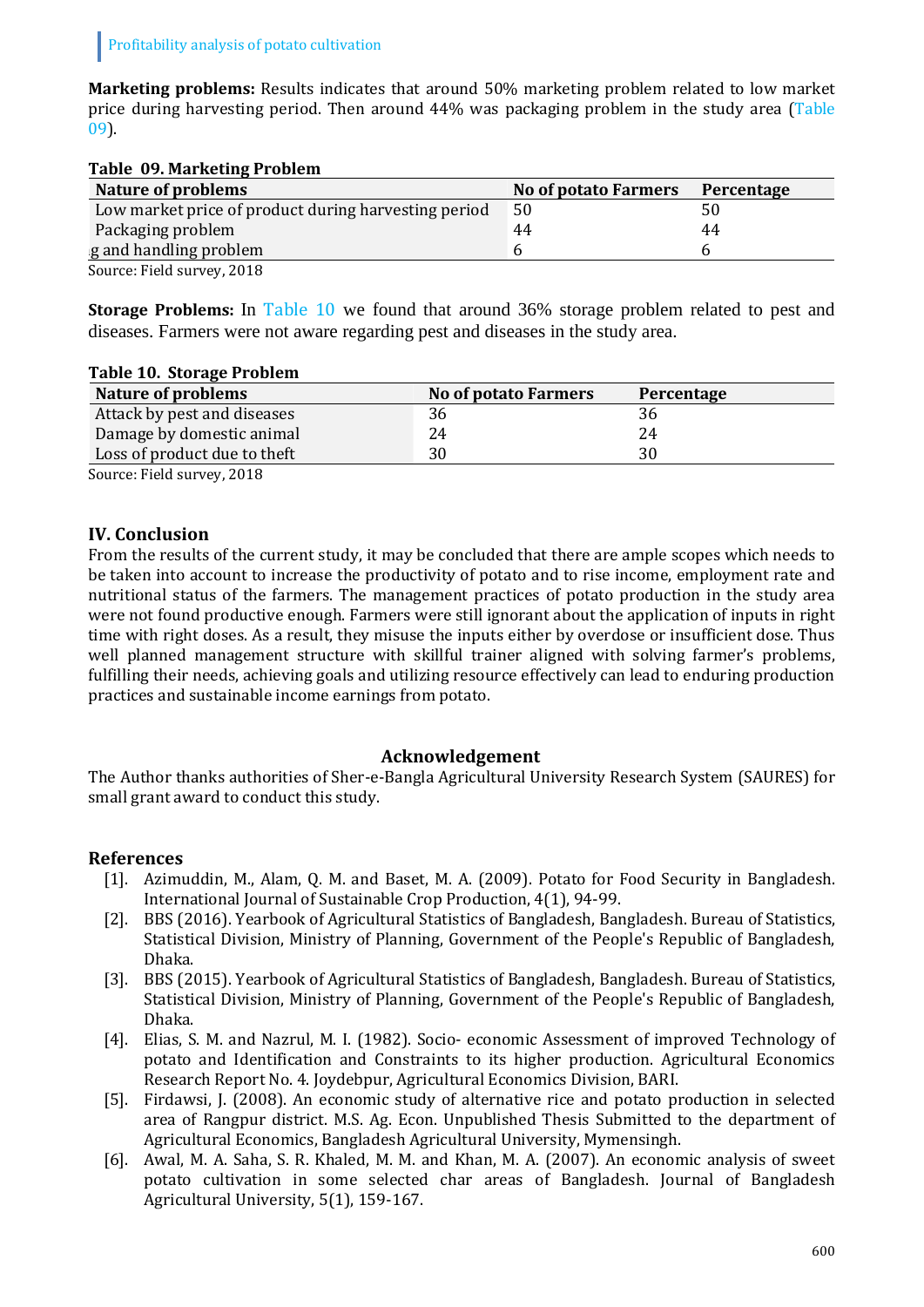**Marketing problems:** Results indicates that around 50% marketing problem related to low market price during harvesting period. Then around 44% was packaging problem in the study area [\(Table](#page-5-5)  [09\)](#page-5-5).

## <span id="page-5-5"></span>**Table 09. Marketing Problem**

| Nature of problems                                   | <b>No of potato Farmers</b> | Percentage |
|------------------------------------------------------|-----------------------------|------------|
| Low market price of product during harvesting period | 50                          |            |
| Packaging problem                                    | 44                          | 44         |
| g and handling problem                               |                             |            |
| Source: Field survey, 2018                           |                             |            |

**Storage Problems:** In [Table 10](#page-5-6) we found that around 36% storage problem related to pest and diseases. Farmers were not aware regarding pest and diseases in the study area.

## <span id="page-5-6"></span>**Table 10. Storage Problem**

| Nature of problems           | No of potato Farmers | Percentage |  |
|------------------------------|----------------------|------------|--|
| Attack by pest and diseases  | 36                   | 36         |  |
| Damage by domestic animal    | 24                   | 24         |  |
| Loss of product due to theft | 30                   | 30         |  |
|                              |                      |            |  |

Source: Field survey, 2018

# **IV. Conclusion**

From the results of the current study, it may be concluded that there are ample scopes which needs to be taken into account to increase the productivity of potato and to rise income, employment rate and nutritional status of the farmers. The management practices of potato production in the study area were not found productive enough. Farmers were still ignorant about the application of inputs in right time with right doses. As a result, they misuse the inputs either by overdose or insufficient dose. Thus well planned management structure with skillful trainer aligned with solving farmer's problems, fulfilling their needs, achieving goals and utilizing resource effectively can lead to enduring production practices and sustainable income earnings from potato.

## **Acknowledgement**

The Author thanks authorities of Sher-e-Bangla Agricultural University Research System (SAURES) for small grant award to conduct this study.

## **References**

- <span id="page-5-0"></span>[1]. Azimuddin, M., Alam, Q. M. and Baset, M. A. (2009). Potato for Food Security in Bangladesh. International Journal of Sustainable Crop Production, 4(1), 94-99.
- [2]. BBS (2016). Yearbook of Agricultural Statistics of Bangladesh, Bangladesh. Bureau of Statistics, Statistical Division, Ministry of Planning, Government of the People's Republic of Bangladesh, Dhaka.
- <span id="page-5-4"></span>[3]. BBS (2015). Yearbook of Agricultural Statistics of Bangladesh, Bangladesh. Bureau of Statistics, Statistical Division, Ministry of Planning, Government of the People's Republic of Bangladesh, Dhaka.
- <span id="page-5-2"></span>[4]. Elias, S. M. and Nazrul, M. I. (1982). Socio- economic Assessment of improved Technology of potato and Identification and Constraints to its higher production. Agricultural Economics Research Report No. 4. Joydebpur, Agricultural Economics Division, BARI.
- <span id="page-5-1"></span>[5]. Firdawsi, J. (2008). An economic study of alternative rice and potato production in selected area of Rangpur district. M.S. Ag. Econ. Unpublished Thesis Submitted to the department of Agricultural Economics, Bangladesh Agricultural University, Mymensingh.
- <span id="page-5-3"></span>[6]. Awal, M. A. Saha, S. R. Khaled, M. M. and Khan, M. A. (2007). An economic analysis of sweet potato cultivation in some selected char areas of Bangladesh. Journal of Bangladesh Agricultural University, 5(1), 159-167.